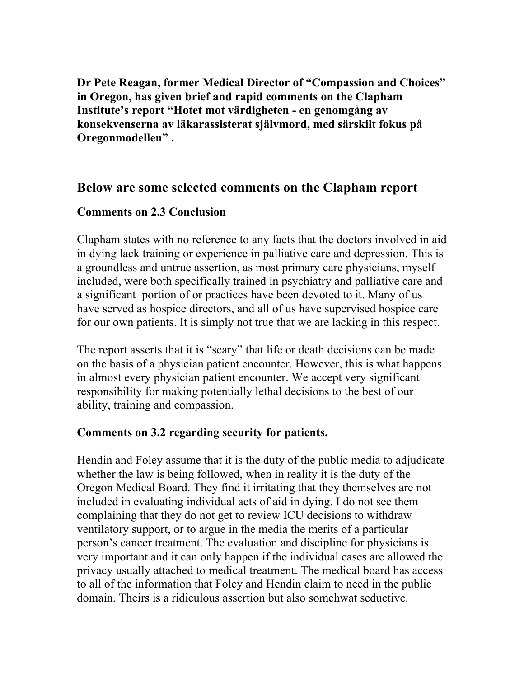**Dr Pete Reagan, former Medical Director of "Compassion and Choices" in Oregon, has given brief and rapid comments on the Clapham Institute's report "Hotet mot värdigheten - en genomgång av konsekvenserna av läkarassisterat självmord, med särskilt fokus på Oregonmodellen" .**

## **Below are some selected comments on the Clapham report**

#### **Comments on 2.3 Conclusion**

Clapham states with no reference to any facts that the doctors involved in aid in dying lack training or experience in palliative care and depression. This is a groundless and untrue assertion, as most primary care physicians, myself included, were both specifically trained in psychiatry and palliative care and a significant portion of or practices have been devoted to it. Many of us have served as hospice directors, and all of us have supervised hospice care for our own patients. It is simply not true that we are lacking in this respect.

The report asserts that it is "scary" that life or death decisions can be made on the basis of a physician patient encounter. However, this is what happens in almost every physician patient encounter. We accept very significant responsibility for making potentially lethal decisions to the best of our ability, training and compassion.

#### **Comments on 3.2 regarding security for patients.**

Hendin and Foley assume that it is the duty of the public media to adjudicate whether the law is being followed, when in reality it is the duty of the Oregon Medical Board. They find it irritating that they themselves are not included in evaluating individual acts of aid in dying. I do not see them complaining that they do not get to review ICU decisions to withdraw ventilatory support, or to argue in the media the merits of a particular person's cancer treatment. The evaluation and discipline for physicians is very important and it can only happen if the individual cases are allowed the privacy usually attached to medical treatment. The medical board has access to all of the information that Foley and Hendin claim to need in the public domain. Theirs is a ridiculous assertion but also somehwat seductive.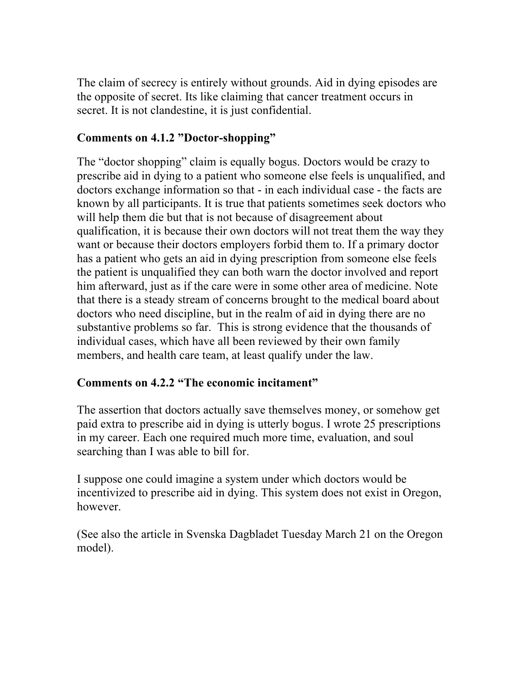The claim of secrecy is entirely without grounds. Aid in dying episodes are the opposite of secret. Its like claiming that cancer treatment occurs in secret. It is not clandestine, it is just confidential.

### **Comments on 4.1.2 "Doctor-shopping"**

The "doctor shopping" claim is equally bogus. Doctors would be crazy to prescribe aid in dying to a patient who someone else feels is unqualified, and doctors exchange information so that - in each individual case - the facts are known by all participants. It is true that patients sometimes seek doctors who will help them die but that is not because of disagreement about qualification, it is because their own doctors will not treat them the way they want or because their doctors employers forbid them to. If a primary doctor has a patient who gets an aid in dying prescription from someone else feels the patient is unqualified they can both warn the doctor involved and report him afterward, just as if the care were in some other area of medicine. Note that there is a steady stream of concerns brought to the medical board about doctors who need discipline, but in the realm of aid in dying there are no substantive problems so far. This is strong evidence that the thousands of individual cases, which have all been reviewed by their own family members, and health care team, at least qualify under the law.

### **Comments on 4.2.2 "The economic incitament"**

The assertion that doctors actually save themselves money, or somehow get paid extra to prescribe aid in dying is utterly bogus. I wrote 25 prescriptions in my career. Each one required much more time, evaluation, and soul searching than I was able to bill for.

I suppose one could imagine a system under which doctors would be incentivized to prescribe aid in dying. This system does not exist in Oregon, however.

(See also the article in Svenska Dagbladet Tuesday March 21 on the Oregon model).